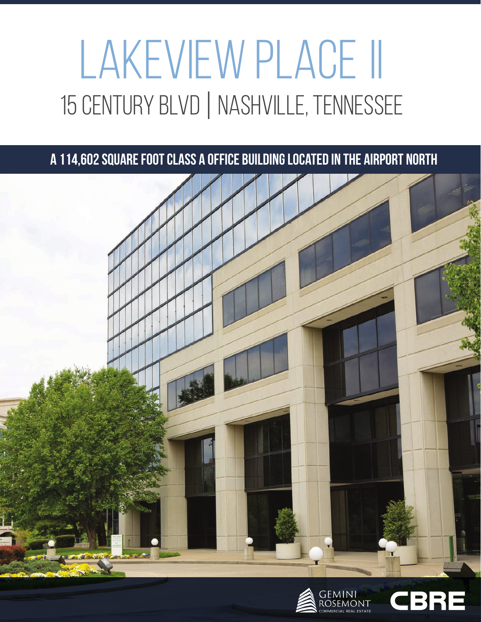# LAKEVIEW PLACE II 15 CENTURY BLVD | NASHVILLE, TENNESSEE

### **A 114,602 square foot Class A office building located in the Airport North**





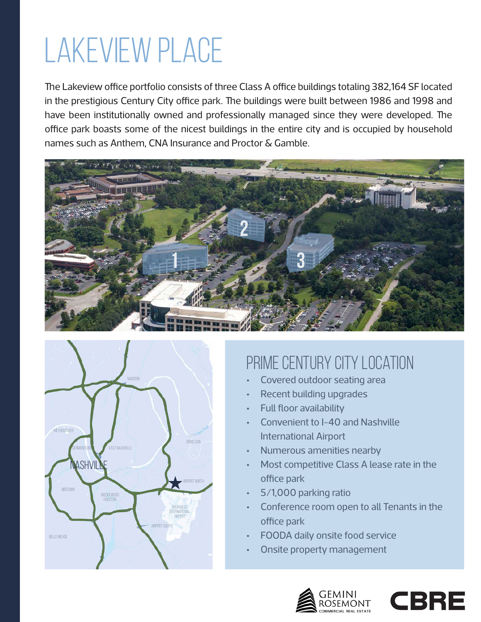## Lakeview place

The Lakeview office portfolio consists of three Class A office buildings totaling 382,164 SF located in the prestigious Century City office park. The buildings were built between 1986 and 1998 and have been institutionally owned and professionally managed since they were developed. The office park boasts some of the nicest buildings in the entire city and is occupied by household names such as Anthem, CNA Insurance and Proctor & Gamble.





### Prime Century City location

- Covered outdoor seating area
- Recent building upgrades
- Full floor availability
- Convenient to I-40 and Nashville International Airport
- Numerous amenities nearby
- Most competitive Class A lease rate in the office park
- 5/1,000 parking ratio
- Conference room open to all Tenants in the office park
- FOODA daily onsite food service
- Onsite property management



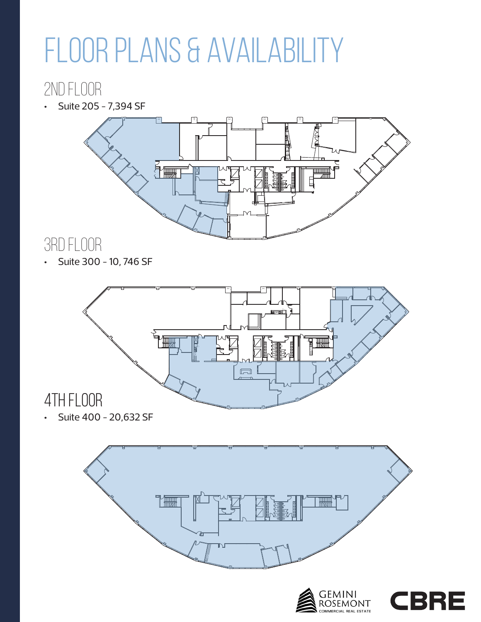## FLOOR PLANS & AVAILABILITY

### 2nd Floor

• Suite 205 - 7,394 SF



### 3rd Floor

• Suite 300 - 10, 746 SF



• Suite 400 - 20,632 SF